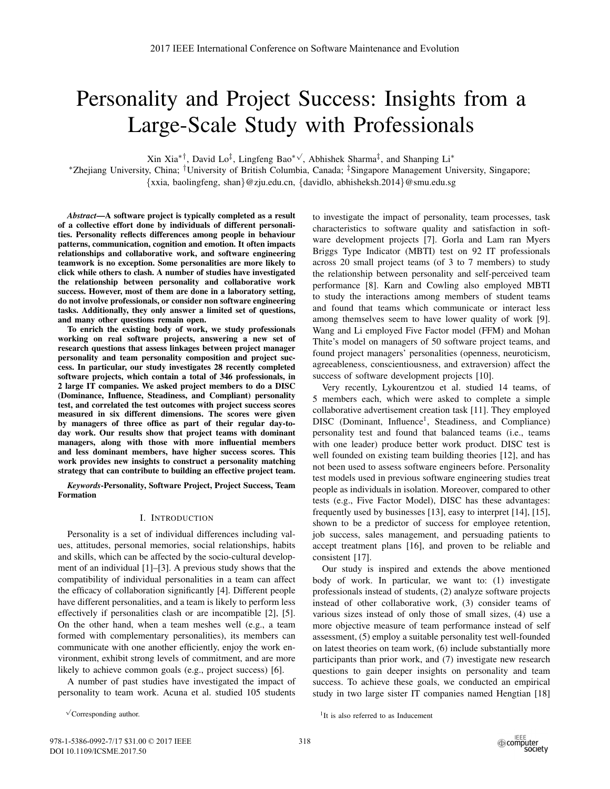# Personality and Project Success: Insights from a Large-Scale Study with Professionals

Xin Xia∗†, David Lo‡, Lingfeng Bao∗ √ , Abhishek Sharma‡, and Shanping Li∗

∗Zhejiang University, China; †University of British Columbia, Canada; ‡Singapore Management University, Singapore; {xxia, baolingfeng, shan}@zju.edu.cn, {davidlo, abhisheksh.2014}@smu.edu.sg

*Abstract*—A software project is typically completed as a result of a collective effort done by individuals of different personalities. Personality reflects differences among people in behaviour patterns, communication, cognition and emotion. It often impacts relationships and collaborative work, and software engineering teamwork is no exception. Some personalities are more likely to click while others to clash. A number of studies have investigated the relationship between personality and collaborative work success. However, most of them are done in a laboratory setting, do not involve professionals, or consider non software engineering tasks. Additionally, they only answer a limited set of questions, and many other questions remain open.

To enrich the existing body of work, we study professionals working on real software projects, answering a new set of research questions that assess linkages between project manager personality and team personality composition and project success. In particular, our study investigates 28 recently completed software projects, which contain a total of 346 professionals, in 2 large IT companies. We asked project members to do a DISC (Dominance, Influence, Steadiness, and Compliant) personality test, and correlated the test outcomes with project success scores measured in six different dimensions. The scores were given by managers of three office as part of their regular day-today work. Our results show that project teams with dominant managers, along with those with more influential members and less dominant members, have higher success scores. This work provides new insights to construct a personality matching strategy that can contribute to building an effective project team.

*Keywords*-Personality, Software Project, Project Success, Team Formation

#### I. INTRODUCTION

Personality is a set of individual differences including values, attitudes, personal memories, social relationships, habits and skills, which can be affected by the socio-cultural development of an individual [1]–[3]. A previous study shows that the compatibility of individual personalities in a team can affect the efficacy of collaboration significantly [4]. Different people have different personalities, and a team is likely to perform less effectively if personalities clash or are incompatible [2], [5]. On the other hand, when a team meshes well (e.g., a team formed with complementary personalities), its members can communicate with one another efficiently, enjoy the work environment, exhibit strong levels of commitment, and are more likely to achieve common goals (e.g., project success) [6].

A number of past studies have investigated the impact of personality to team work. Acuna et al. studied 105 students

to investigate the impact of personality, team processes, task characteristics to software quality and satisfaction in software development projects [7]. Gorla and Lam ran Myers Briggs Type Indicator (MBTI) test on 92 IT professionals across 20 small project teams (of 3 to 7 members) to study the relationship between personality and self-perceived team performance [8]. Karn and Cowling also employed MBTI to study the interactions among members of student teams and found that teams which communicate or interact less among themselves seem to have lower quality of work [9]. Wang and Li employed Five Factor model (FFM) and Mohan Thite's model on managers of 50 software project teams, and found project managers' personalities (openness, neuroticism, agreeableness, conscientiousness, and extraversion) affect the success of software development projects [10].

Very recently, Lykourentzou et al. studied 14 teams, of 5 members each, which were asked to complete a simple collaborative advertisement creation task [11]. They employed DISC (Dominant, Influence<sup>1</sup>, Steadiness, and Compliance) personality test and found that balanced teams (i.e., teams with one leader) produce better work product. DISC test is well founded on existing team building theories [12], and has not been used to assess software engineers before. Personality test models used in previous software engineering studies treat people as individuals in isolation. Moreover, compared to other tests (e.g., Five Factor Model), DISC has these advantages: frequently used by businesses [13], easy to interpret [14], [15], shown to be a predictor of success for employee retention, job success, sales management, and persuading patients to accept treatment plans [16], and proven to be reliable and consistent [17].

Our study is inspired and extends the above mentioned body of work. In particular, we want to: (1) investigate professionals instead of students, (2) analyze software projects instead of other collaborative work, (3) consider teams of various sizes instead of only those of small sizes, (4) use a more objective measure of team performance instead of self assessment, (5) employ a suitable personality test well-founded on latest theories on team work, (6) include substantially more participants than prior work, and (7) investigate new research questions to gain deeper insights on personality and team success. To achieve these goals, we conducted an empirical study in two large sister IT companies named Hengtian [18]

<sup>√</sup> Corresponding author.

<sup>&</sup>lt;sup>1</sup>It is also referred to as Inducement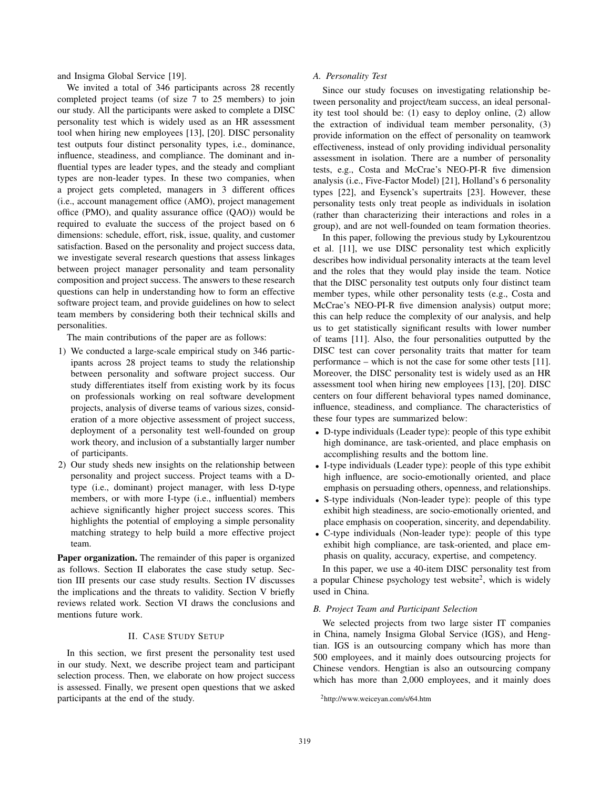and Insigma Global Service [19].

We invited a total of 346 participants across 28 recently completed project teams (of size 7 to 25 members) to join our study. All the participants were asked to complete a DISC personality test which is widely used as an HR assessment tool when hiring new employees [13], [20]. DISC personality test outputs four distinct personality types, i.e., dominance, influence, steadiness, and compliance. The dominant and influential types are leader types, and the steady and compliant types are non-leader types. In these two companies, when a project gets completed, managers in 3 different offices (i.e., account management office (AMO), project management office (PMO), and quality assurance office (QAO)) would be required to evaluate the success of the project based on 6 dimensions: schedule, effort, risk, issue, quality, and customer satisfaction. Based on the personality and project success data, we investigate several research questions that assess linkages between project manager personality and team personality composition and project success. The answers to these research questions can help in understanding how to form an effective software project team, and provide guidelines on how to select team members by considering both their technical skills and personalities.

The main contributions of the paper are as follows:

- 1) We conducted a large-scale empirical study on 346 participants across 28 project teams to study the relationship between personality and software project success. Our study differentiates itself from existing work by its focus on professionals working on real software development projects, analysis of diverse teams of various sizes, consideration of a more objective assessment of project success, deployment of a personality test well-founded on group work theory, and inclusion of a substantially larger number of participants.
- 2) Our study sheds new insights on the relationship between personality and project success. Project teams with a Dtype (i.e., dominant) project manager, with less D-type members, or with more I-type (i.e., influential) members achieve significantly higher project success scores. This highlights the potential of employing a simple personality matching strategy to help build a more effective project team.

Paper organization. The remainder of this paper is organized as follows. Section II elaborates the case study setup. Section III presents our case study results. Section IV discusses the implications and the threats to validity. Section V briefly reviews related work. Section VI draws the conclusions and mentions future work.

## II. CASE STUDY SETUP

In this section, we first present the personality test used in our study. Next, we describe project team and participant selection process. Then, we elaborate on how project success is assessed. Finally, we present open questions that we asked participants at the end of the study.

## *A. Personality Test*

Since our study focuses on investigating relationship between personality and project/team success, an ideal personality test tool should be: (1) easy to deploy online, (2) allow the extraction of individual team member personality, (3) provide information on the effect of personality on teamwork effectiveness, instead of only providing individual personality assessment in isolation. There are a number of personality tests, e.g., Costa and McCrae's NEO-PI-R five dimension analysis (i.e., Five-Factor Model) [21], Holland's 6 personality types [22], and Eysenck's supertraits [23]. However, these personality tests only treat people as individuals in isolation (rather than characterizing their interactions and roles in a group), and are not well-founded on team formation theories.

In this paper, following the previous study by Lykourentzou et al. [11], we use DISC personality test which explicitly describes how individual personality interacts at the team level and the roles that they would play inside the team. Notice that the DISC personality test outputs only four distinct team member types, while other personality tests (e.g., Costa and McCrae's NEO-PI-R five dimension analysis) output more; this can help reduce the complexity of our analysis, and help us to get statistically significant results with lower number of teams [11]. Also, the four personalities outputted by the DISC test can cover personality traits that matter for team performance – which is not the case for some other tests [11]. Moreover, the DISC personality test is widely used as an HR assessment tool when hiring new employees [13], [20]. DISC centers on four different behavioral types named dominance, influence, steadiness, and compliance. The characteristics of these four types are summarized below:

- D-type individuals (Leader type): people of this type exhibit high dominance, are task-oriented, and place emphasis on accomplishing results and the bottom line.
- I-type individuals (Leader type): people of this type exhibit high influence, are socio-emotionally oriented, and place emphasis on persuading others, openness, and relationships.
- S-type individuals (Non-leader type): people of this type exhibit high steadiness, are socio-emotionally oriented, and place emphasis on cooperation, sincerity, and dependability.
- C-type individuals (Non-leader type): people of this type exhibit high compliance, are task-oriented, and place emphasis on quality, accuracy, expertise, and competency.

In this paper, we use a 40-item DISC personality test from a popular Chinese psychology test website<sup>2</sup>, which is widely used in China.

## *B. Project Team and Participant Selection*

We selected projects from two large sister IT companies in China, namely Insigma Global Service (IGS), and Hengtian. IGS is an outsourcing company which has more than 500 employees, and it mainly does outsourcing projects for Chinese vendors. Hengtian is also an outsourcing company which has more than 2,000 employees, and it mainly does

<sup>2</sup>http://www.weiceyan.com/s/64.htm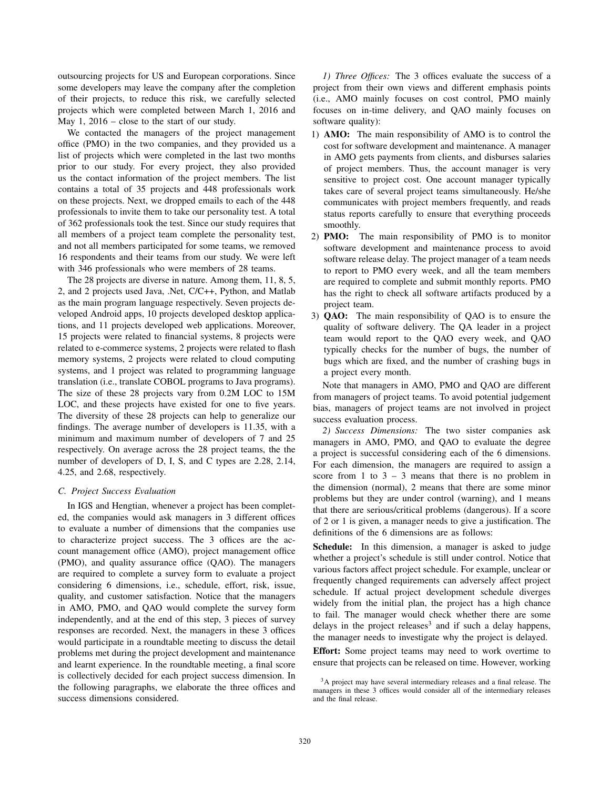outsourcing projects for US and European corporations. Since some developers may leave the company after the completion of their projects, to reduce this risk, we carefully selected projects which were completed between March 1, 2016 and May 1, 2016 – close to the start of our study.

We contacted the managers of the project management office (PMO) in the two companies, and they provided us a list of projects which were completed in the last two months prior to our study. For every project, they also provided us the contact information of the project members. The list contains a total of 35 projects and 448 professionals work on these projects. Next, we dropped emails to each of the 448 professionals to invite them to take our personality test. A total of 362 professionals took the test. Since our study requires that all members of a project team complete the personality test, and not all members participated for some teams, we removed 16 respondents and their teams from our study. We were left with 346 professionals who were members of 28 teams.

The 28 projects are diverse in nature. Among them, 11, 8, 5, 2, and 2 projects used Java, .Net, C/C++, Python, and Matlab as the main program language respectively. Seven projects developed Android apps, 10 projects developed desktop applications, and 11 projects developed web applications. Moreover, 15 projects were related to financial systems, 8 projects were related to e-commerce systems, 2 projects were related to flash memory systems, 2 projects were related to cloud computing systems, and 1 project was related to programming language translation (i.e., translate COBOL programs to Java programs). The size of these 28 projects vary from 0.2M LOC to 15M LOC, and these projects have existed for one to five years. The diversity of these 28 projects can help to generalize our findings. The average number of developers is 11.35, with a minimum and maximum number of developers of 7 and 25 respectively. On average across the 28 project teams, the the number of developers of D, I, S, and C types are 2.28, 2.14, 4.25, and 2.68, respectively.

#### *C. Project Success Evaluation*

In IGS and Hengtian, whenever a project has been completed, the companies would ask managers in 3 different offices to evaluate a number of dimensions that the companies use to characterize project success. The 3 offices are the account management office (AMO), project management office (PMO), and quality assurance office (QAO). The managers are required to complete a survey form to evaluate a project considering 6 dimensions, i.e., schedule, effort, risk, issue, quality, and customer satisfaction. Notice that the managers in AMO, PMO, and QAO would complete the survey form independently, and at the end of this step, 3 pieces of survey responses are recorded. Next, the managers in these 3 offices would participate in a roundtable meeting to discuss the detail problems met during the project development and maintenance and learnt experience. In the roundtable meeting, a final score is collectively decided for each project success dimension. In the following paragraphs, we elaborate the three offices and success dimensions considered.

*1) Three Offices:* The 3 offices evaluate the success of a project from their own views and different emphasis points (i.e., AMO mainly focuses on cost control, PMO mainly focuses on in-time delivery, and QAO mainly focuses on software quality):

- 1) AMO: The main responsibility of AMO is to control the cost for software development and maintenance. A manager in AMO gets payments from clients, and disburses salaries of project members. Thus, the account manager is very sensitive to project cost. One account manager typically takes care of several project teams simultaneously. He/she communicates with project members frequently, and reads status reports carefully to ensure that everything proceeds smoothly.
- 2) PMO: The main responsibility of PMO is to monitor software development and maintenance process to avoid software release delay. The project manager of a team needs to report to PMO every week, and all the team members are required to complete and submit monthly reports. PMO has the right to check all software artifacts produced by a project team.
- 3) QAO: The main responsibility of QAO is to ensure the quality of software delivery. The QA leader in a project team would report to the QAO every week, and QAO typically checks for the number of bugs, the number of bugs which are fixed, and the number of crashing bugs in a project every month.

Note that managers in AMO, PMO and QAO are different from managers of project teams. To avoid potential judgement bias, managers of project teams are not involved in project success evaluation process.

*2) Success Dimensions:* The two sister companies ask managers in AMO, PMO, and QAO to evaluate the degree a project is successful considering each of the 6 dimensions. For each dimension, the managers are required to assign a score from 1 to  $3 – 3$  means that there is no problem in the dimension (normal), 2 means that there are some minor problems but they are under control (warning), and 1 means that there are serious/critical problems (dangerous). If a score of 2 or 1 is given, a manager needs to give a justification. The definitions of the 6 dimensions are as follows:

Schedule: In this dimension, a manager is asked to judge whether a project's schedule is still under control. Notice that various factors affect project schedule. For example, unclear or frequently changed requirements can adversely affect project schedule. If actual project development schedule diverges widely from the initial plan, the project has a high chance to fail. The manager would check whether there are some delays in the project releases<sup>3</sup> and if such a delay happens, the manager needs to investigate why the project is delayed.

Effort: Some project teams may need to work overtime to ensure that projects can be released on time. However, working

<sup>&</sup>lt;sup>3</sup>A project may have several intermediary releases and a final release. The managers in these 3 offices would consider all of the intermediary releases and the final release.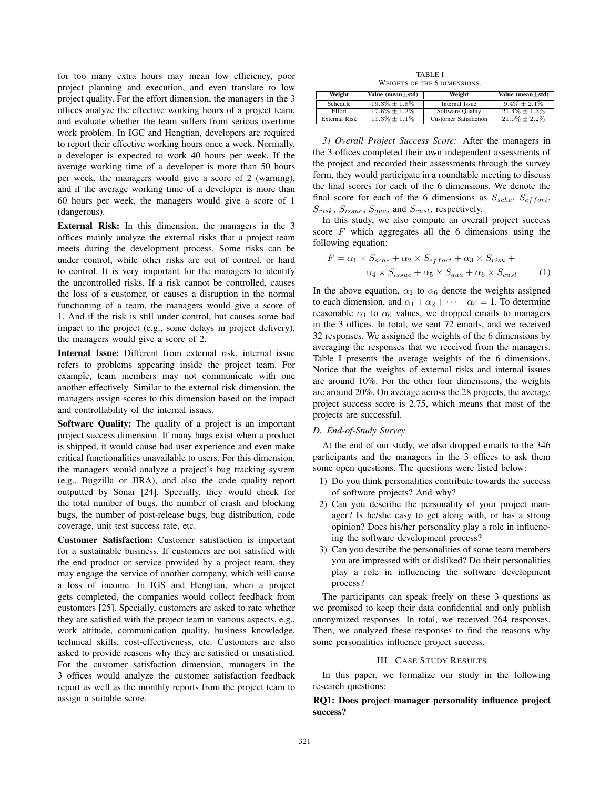for too many extra hours may mean low efficiency, poor project planning and execution, and even translate to low project quality. For the effort dimension, the managers in the 3 offices analyze the effective working hours of a project team, and evaluate whether the team suffers from serious overtime work problem. In IGC and Hengtian, developers are required to report their effective working hours once a week. Normally, a developer is expected to work 40 hours per week. If the average working time of a developer is more than 50 hours per week, the managers would give a score of 2 (warning), and if the average working time of a developer is more than 60 hours per week, the managers would give a score of 1 (dangerous).

External Risk: In this dimension, the managers in the 3 offices mainly analyze the external risks that a project team meets during the development process. Some risks can be under control, while other risks are out of control, or hard to control. It is very important for the managers to identify the uncontrolled risks. If a risk cannot be controlled, causes the loss of a customer, or causes a disruption in the normal functioning of a team, the managers would give a score of 1. And if the risk is still under control, but causes some bad impact to the project (e.g., some delays in project delivery), the managers would give a score of 2.

Internal Issue: Different from external risk, internal issue refers to problems appearing inside the project team. For example, team members may not communicate with one another effectively. Similar to the external risk dimension, the managers assign scores to this dimension based on the impact and controllability of the internal issues.

Software Quality: The quality of a project is an important project success dimension. If many bugs exist when a product is shipped, it would cause bad user experience and even make critical functionalities unavailable to users. For this dimension, the managers would analyze a project's bug tracking system (e.g., Bugzilla or JIRA), and also the code quality report outputted by Sonar [24]. Specially, they would check for the total number of bugs, the number of crash and blocking bugs, the number of post-release bugs, bug distribution, code coverage, unit test success rate, etc.

Customer Satisfaction: Customer satisfaction is important for a sustainable business. If customers are not satisfied with the end product or service provided by a project team, they may engage the service of another company, which will cause a loss of income. In IGS and Hengtian, when a project gets completed, the companies would collect feedback from customers [25]. Specially, customers are asked to rate whether they are satisfied with the project team in various aspects, e.g., work attitude, communication quality, business knowledge, technical skills, cost-effectiveness, etc. Customers are also asked to provide reasons why they are satisfied or unsatisfied. For the customer satisfaction dimension, managers in the 3 offices would analyze the customer satisfaction feedback report as well as the monthly reports from the project team to assign a suitable score.

TABLE I WEIGHTS OF THE 6 DIMENSIONS.

| Weight          | Value (mean $\pm$ std) | Weight                       | Value (mean $\pm$ std) |  |  |
|-----------------|------------------------|------------------------------|------------------------|--|--|
| <b>Schedule</b> | $19.3\% \pm 1.8\%$     | Internal Issue               | $9.4\% + 2.1\%$        |  |  |
| Effort          | $17.6\% \pm 1.2\%$     | Software Quality             | $21.4\% + 1.3\%$       |  |  |
| External Risk   | $11.3\% \pm 1.1\%$     | <b>Customer Satisfaction</b> | $21.0\% + 2.2\%$       |  |  |

*3) Overall Project Success Score:* After the managers in the 3 offices completed their own independent assessments of the project and recorded their assessments through the survey form, they would participate in a roundtable meeting to discuss the final scores for each of the 6 dimensions. We denote the final score for each of the 6 dimensions as  $S_{sche}$ ,  $S_{effort}$ ,  $S_{risk}$ ,  $S_{issue}$ ,  $S_{qua}$ , and  $S_{cust}$ , respectively.

In this study, we also compute an overall project success score  $F$  which aggregates all the 6 dimensions using the following equation:

$$
F = \alpha_1 \times S_{sche} + \alpha_2 \times S_{effort} + \alpha_3 \times S_{risk} +
$$
  

$$
\alpha_4 \times S_{issue} + \alpha_5 \times S_{qua} + \alpha_6 \times S_{cuts}
$$
 (1)

In the above equation,  $\alpha_1$  to  $\alpha_6$  denote the weights assigned to each dimension, and  $\alpha_1 + \alpha_2 + \cdots + \alpha_6 = 1$ . To determine reasonable  $\alpha_1$  to  $\alpha_6$  values, we dropped emails to managers in the 3 offices. In total, we sent 72 emails, and we received 32 responses. We assigned the weights of the 6 dimensions by averaging the responses that we received from the managers. Table I presents the average weights of the 6 dimensions. Notice that the weights of external risks and internal issues are around 10%. For the other four dimensions, the weights are around 20%. On average across the 28 projects, the average project success score is 2.75, which means that most of the projects are successful.

#### *D. End-of-Study Survey*

At the end of our study, we also dropped emails to the 346 participants and the managers in the 3 offices to ask them some open questions. The questions were listed below:

- 1) Do you think personalities contribute towards the success of software projects? And why?
- 2) Can you describe the personality of your project manager? Is he/she easy to get along with, or has a strong opinion? Does his/her personality play a role in influencing the software development process?
- 3) Can you describe the personalities of some team members you are impressed with or disliked? Do their personalities play a role in influencing the software development process?

The participants can speak freely on these 3 questions as we promised to keep their data confidential and only publish anonymized responses. In total, we received 264 responses. Then, we analyzed these responses to find the reasons why some personalities influence project success.

## III. CASE STUDY RESULTS

In this paper, we formalize our study in the following research questions:

# RQ1: Does project manager personality influence project success?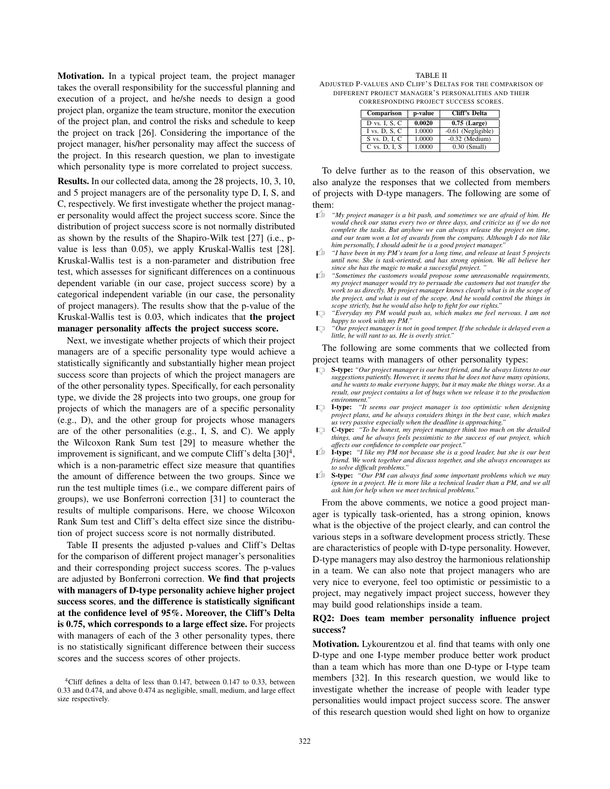Motivation. In a typical project team, the project manager takes the overall responsibility for the successful planning and execution of a project, and he/she needs to design a good project plan, organize the team structure, monitor the execution of the project plan, and control the risks and schedule to keep the project on track [26]. Considering the importance of the project manager, his/her personality may affect the success of the project. In this research question, we plan to investigate which personality type is more correlated to project success.

Results. In our collected data, among the 28 projects, 10, 3, 10, and 5 project managers are of the personality type D, I, S, and C, respectively. We first investigate whether the project manager personality would affect the project success score. Since the distribution of project success score is not normally distributed as shown by the results of the Shapiro-Wilk test [27] (i.e., pvalue is less than 0.05), we apply Kruskal-Wallis test [28]. Kruskal-Wallis test is a non-parameter and distribution free test, which assesses for significant differences on a continuous dependent variable (in our case, project success score) by a categorical independent variable (in our case, the personality of project managers). The results show that the p-value of the Kruskal-Wallis test is 0.03, which indicates that the project manager personality affects the project success score.

Next, we investigate whether projects of which their project managers are of a specific personality type would achieve a statistically significantly and substantially higher mean project success score than projects of which the project managers are of the other personality types. Specifically, for each personality type, we divide the 28 projects into two groups, one group for projects of which the managers are of a specific personality (e.g., D), and the other group for projects whose managers are of the other personalities (e.g., I, S, and C). We apply the Wilcoxon Rank Sum test [29] to measure whether the improvement is significant, and we compute Cliff's delta  $[30]^4$ , which is a non-parametric effect size measure that quantifies the amount of difference between the two groups. Since we run the test multiple times (i.e., we compare different pairs of groups), we use Bonferroni correction [31] to counteract the results of multiple comparisons. Here, we choose Wilcoxon Rank Sum test and Cliff's delta effect size since the distribution of project success score is not normally distributed.

Table II presents the adjusted p-values and Cliff's Deltas for the comparison of different project manager's personalities and their corresponding project success scores. The p-values are adjusted by Bonferroni correction. We find that projects with managers of D-type personality achieve higher project success scores, and the difference is statistically significant at the confidence level of 95%. Moreover, the Cliff's Delta is 0.75, which corresponds to a large effect size. For projects with managers of each of the 3 other personality types, there is no statistically significant difference between their success scores and the success scores of other projects.

TABLE II ADJUSTED P-VALUES AND CLIFF'S DELTAS FOR THE COMPARISON OF DIFFERENT PROJECT MANAGER'S PERSONALITIES AND THEIR CORRESPONDING PROJECT SUCCESS SCORES.

| Comparison      | p-value | Cliff's Delta        |
|-----------------|---------|----------------------|
| D vs. I, S, C   | 0.0020  | $0.75$ (Large)       |
| I vs. $D, S, C$ | 1.0000  | $-0.61$ (Negligible) |
| S vs. D, I, C   | 1.0000  | $-0.32$ (Medium)     |
| $C$ vs. D. I. S | 1.0000  | $0.30$ (Small)       |

To delve further as to the reason of this observation, we also analyze the responses that we collected from members of projects with D-type managers. The following are some of them:

- *"My project manager is a bit push, and sometimes we are afraid of him. He would check our status every two or three days, and criticize us if we do not complete the tasks. But anyhow we can always release the project on time, and our team won a lot of awards from the company. Although I do not like him personally, I should admit he is a good project manager."*
- *"I have been in my PM's team for a long time, and release at least 5 projects until now. She is task-oriented, and has strong opinion. We all believe her since she has the magic to make a successful project. "*
- *"Sometimes the customers would propose some unreasonable requirements, my project manager would try to persuade the customers but not transfer the work to us directly. My project manager knows clearly what is in the scope of the project, and what is out of the scope. And he would control the things in scope strictly, but he would also help to fight for our rights."*
- $\mathbb{Z}^3$  *"Everyday my PM would push us, which makes me feel nervous. I am not happy to work with my PM."*
- $\nabla^3$  *"Our project manager is not in good temper. If the schedule is delayed even a little, he will rant to us. He is overly strict."*

The following are some comments that we collected from project teams with managers of other personality types:

- **S-type:** "Our project manager is our best friend, and he always listens to our *suggestions patiently. However, it seems that he does not have many opinions, and he wants to make everyone happy, but it may make the things worse. As a result, our project contains a lot of bugs when we release it to the production environment."*
- **I-type:** "It seems our project manager is too optimistic when designing *project plans, and he always considers things in the best case, which makes us very passive especially when the deadline is approaching."*
- $\nabla^3$  C-type: *"To be honest, my project manager think too much on the detailed things, and he always feels pessimistic to the success of our project, which affects our confidence to complete our project.*"<br> $\Box$  **I-type:** "*I like my PM not because she is a go*
- I-type: *"I like my PM not because she is a good leader, but she is our best friend. We work together and discuss together, and she always encourages us to solve difficult problems."*
- S-type: *"Our PM can always find some important problems which we may ignore in a project. He is more like a technical leader than a PM, and we all ask him for help when we meet technical problems."*

From the above comments, we notice a good project manager is typically task-oriented, has a strong opinion, knows what is the objective of the project clearly, and can control the various steps in a software development process strictly. These are characteristics of people with D-type personality. However, D-type managers may also destroy the harmonious relationship in a team. We can also note that project managers who are very nice to everyone, feel too optimistic or pessimistic to a project, may negatively impact project success, however they may build good relationships inside a team.

## RQ2: Does team member personality influence project success?

Motivation. Lykourentzou et al. find that teams with only one D-type and one I-type member produce better work product than a team which has more than one D-type or I-type team members [32]. In this research question, we would like to investigate whether the increase of people with leader type personalities would impact project success score. The answer of this research question would shed light on how to organize

<sup>&</sup>lt;sup>4</sup>Cliff defines a delta of less than 0.147, between 0.147 to 0.33, between 0.33 and 0.474, and above 0.474 as negligible, small, medium, and large effect size respectively.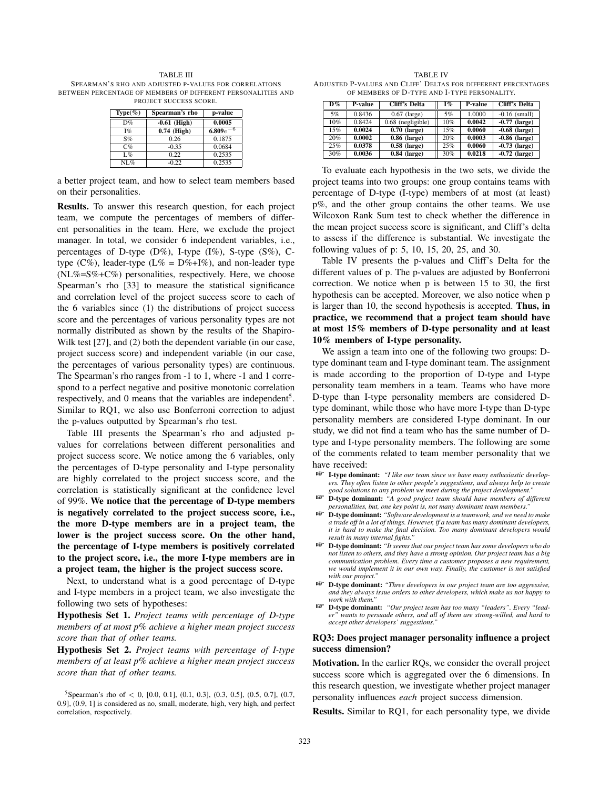TABLE III SPEARMAN'S RHO AND ADJUSTED P-VALUES FOR CORRELATIONS BETWEEN PERCENTAGE OF MEMBERS OF DIFFERENT PERSONALITIES AND PROJECT SUCCESS SCORE.

| $Type\%$        | Spearman's rho | p-value      |
|-----------------|----------------|--------------|
| $D\%$           | $-0.61$ (High) | 0.0005       |
| $I\%$           | $0.74$ (High)  | $6.809e^{-}$ |
| $S\%$           | 0.26           | 0.1875       |
| $C\%$           | $-0.35$        | 0.0684       |
| I.%             | 0.22           | 0.2535       |
| $NI\mathcal{A}$ | $-0.22$        | 0.2535       |

a better project team, and how to select team members based on their personalities.

Results. To answer this research question, for each project team, we compute the percentages of members of different personalities in the team. Here, we exclude the project manager. In total, we consider 6 independent variables, i.e., percentages of D-type  $(D\%)$ , I-type  $(I\%)$ , S-type  $(S\%)$ , Ctype (C%), leader-type (L% =  $D\%+I\%$ ), and non-leader type (NL%=S%+C%) personalities, respectively. Here, we choose Spearman's rho [33] to measure the statistical significance and correlation level of the project success score to each of the 6 variables since (1) the distributions of project success score and the percentages of various personality types are not normally distributed as shown by the results of the Shapiro-Wilk test [27], and (2) both the dependent variable (in our case, project success score) and independent variable (in our case, the percentages of various personality types) are continuous. The Spearman's rho ranges from -1 to 1, where -1 and 1 correspond to a perfect negative and positive monotonic correlation respectively, and 0 means that the variables are independent<sup>5</sup>. Similar to RQ1, we also use Bonferroni correction to adjust the p-values outputted by Spearman's rho test.

Table III presents the Spearman's rho and adjusted pvalues for correlations between different personalities and project success score. We notice among the 6 variables, only the percentages of D-type personality and I-type personality are highly correlated to the project success score, and the correlation is statistically significant at the confidence level of 99%. We notice that the percentage of D-type members is negatively correlated to the project success score, i.e., the more D-type members are in a project team, the lower is the project success score. On the other hand, the percentage of I-type members is positively correlated to the project score, i.e., the more I-type members are in a project team, the higher is the project success score.

Next, to understand what is a good percentage of D-type and I-type members in a project team, we also investigate the following two sets of hypotheses:

Hypothesis Set 1. *Project teams with percentage of D-type members of at most p% achieve a higher mean project success score than that of other teams.*

Hypothesis Set 2. *Project teams with percentage of I-type members of at least p% achieve a higher mean project success score than that of other teams.*

5Spearman's rho of  $\leq$  0, [0.0, 0.1], (0.1, 0.3], (0.3, 0.5], (0.5, 0.7], (0.7, 0.9], (0.9, 1] is considered as no, small, moderate, high, very high, and perfect correlation, respectively.

TABLE IV ADJUSTED P-VALUES AND CLIFF' DELTAS FOR DIFFERENT PERCENTAGES OF MEMBERS OF D-TYPE AND I-TYPE PERSONALITY.

| $D\%$ | P-value | Cliff's Delta       | I%  | P-value | <b>Cliff's Delta</b> |
|-------|---------|---------------------|-----|---------|----------------------|
| 5%    | 0.8436  | $0.67$ (large)      | 5%  | 1.0000  | $-0.16$ (small)      |
| 10%   | 0.8424  | $0.68$ (negligible) | 10% | 0.0042  | $-0.77$ (large)      |
| 15%   | 0.0024  | $0.70$ (large)      | 15% | 0.0060  | $-0.68$ (large)      |
| 20%   | 0.0002  | $0.86$ (large)      | 20% | 0.0003  | $-0.86$ (large)      |
| 25%   | 0.0378  | $0.58$ (large)      | 25% | 0.0060  | $-0.73$ (large)      |
| 30%   | 0.0036  | $0.84$ (large)      | 30% | 0.0218  | $-0.72$ (large)      |

To evaluate each hypothesis in the two sets, we divide the project teams into two groups: one group contains teams with percentage of D-type (I-type) members of at most (at least) p%, and the other group contains the other teams. We use Wilcoxon Rank Sum test to check whether the difference in the mean project success score is significant, and Cliff's delta to assess if the difference is substantial. We investigate the following values of p: 5, 10, 15, 20, 25, and 30.

Table IV presents the p-values and Cliff's Delta for the different values of p. The p-values are adjusted by Bonferroni correction. We notice when p is between 15 to 30, the first hypothesis can be accepted. Moreover, we also notice when p is larger than 10, the second hypothesis is accepted. Thus, in practice, we recommend that a project team should have at most 15% members of D-type personality and at least 10% members of I-type personality.

We assign a team into one of the following two groups: Dtype dominant team and I-type dominant team. The assignment is made according to the proportion of D-type and I-type personality team members in a team. Teams who have more D-type than I-type personality members are considered Dtype dominant, while those who have more I-type than D-type personality members are considered I-type dominant. In our study, we did not find a team who has the same number of Dtype and I-type personality members. The following are some of the comments related to team member personality that we have received:

- rð. I-type dominant: *"I like our team since we have many enthusiastic developers. They often listen to other people's suggestions, and always help to create good solutions to any problem we meet during the project development."*
- D-type dominant: *"A good project team should have members of different personalities, but, one key point is, not many dominant team members."*
- rð. D-type dominant: *"Software development is a teamwork, and we need to make a trade off in a lot of things. However, if a team has many dominant developers, it is hard to make the final decision. Too many dominant developers would result in many internal fights."*
- D-type dominant: *"It seems that our project team has some developers who do not listen to others, and they have a strong opinion. Our project team has a big communication problem. Every time a customer proposes a new requirement, we would implement it in our own way. Finally, the customer is not satisfied with our project."*
- rð. D-type dominant: *"Three developers in our project team are too aggressive, and they always issue orders to other developers, which make us not happy to work with them."*
- D-type dominant: *"Our project team has too many "leaders". Every "leader" wants to persuade others, and all of them are strong-willed, and hard to accept other developers' suggestions."*

## RQ3: Does project manager personality influence a project success dimension?

Motivation. In the earlier RQs, we consider the overall project success score which is aggregated over the 6 dimensions. In this research question, we investigate whether project manager personality influences *each* project success dimension.

Results. Similar to RQ1, for each personality type, we divide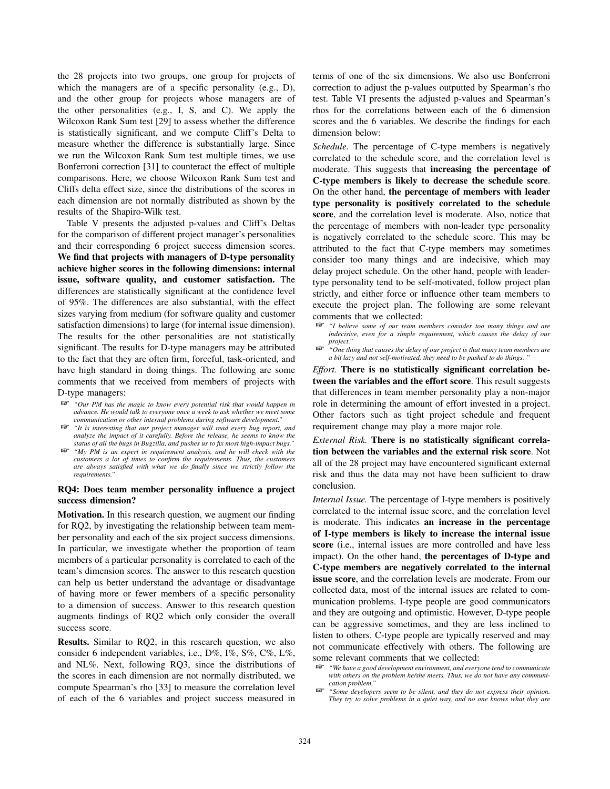the 28 projects into two groups, one group for projects of which the managers are of a specific personality (e.g., D), and the other group for projects whose managers are of the other personalities (e.g., I, S, and C). We apply the Wilcoxon Rank Sum test [29] to assess whether the difference is statistically significant, and we compute Cliff's Delta to measure whether the difference is substantially large. Since we run the Wilcoxon Rank Sum test multiple times, we use Bonferroni correction [31] to counteract the effect of multiple comparisons. Here, we choose Wilcoxon Rank Sum test and Cliffs delta effect size, since the distributions of the scores in each dimension are not normally distributed as shown by the results of the Shapiro-Wilk test.

Table V presents the adjusted p-values and Cliff's Deltas for the comparison of different project manager's personalities and their corresponding 6 project success dimension scores. We find that projects with managers of D-type personality achieve higher scores in the following dimensions: internal issue, software quality, and customer satisfaction. The differences are statistically significant at the confidence level of 95%. The differences are also substantial, with the effect sizes varying from medium (for software quality and customer satisfaction dimensions) to large (for internal issue dimension). The results for the other personalities are not statistically significant. The results for D-type managers may be attributed to the fact that they are often firm, forceful, task-oriented, and have high standard in doing things. The following are some comments that we received from members of projects with D-type managers:

- *"Our PM has the magic to know every potential risk that would happen in advance. He would talk to everyone once a week to ask whether we meet some communication or other internal problems during software development."*
- - *"It is interesting that our project manager will read every bug report, and analyze the impact of it carefully. Before the release, he seems to know the status of all the bugs in Bugzilla, and pushes us to fix most high-impact bugs."*
- *"My PM is an expert in requirement analysis, and he will check with the customers a lot of times to confirm the requirements. Thus, the customers are always satisfied with what we do finally since we strictly follow the requirements."*

#### RQ4: Does team member personality influence a project success dimension?

Motivation. In this research question, we augment our finding for RQ2, by investigating the relationship between team member personality and each of the six project success dimensions. In particular, we investigate whether the proportion of team members of a particular personality is correlated to each of the team's dimension scores. The answer to this research question can help us better understand the advantage or disadvantage of having more or fewer members of a specific personality to a dimension of success. Answer to this research question augments findings of RQ2 which only consider the overall success score.

Results. Similar to RQ2, in this research question, we also consider 6 independent variables, i.e., D%, I%, S%, C%, L%, and NL%. Next, following RQ3, since the distributions of the scores in each dimension are not normally distributed, we compute Spearman's rho [33] to measure the correlation level of each of the 6 variables and project success measured in

terms of one of the six dimensions. We also use Bonferroni correction to adjust the p-values outputted by Spearman's rho test. Table VI presents the adjusted p-values and Spearman's rhos for the correlations between each of the 6 dimension scores and the 6 variables. We describe the findings for each dimension below:

*Schedule.* The percentage of C-type members is negatively correlated to the schedule score, and the correlation level is moderate. This suggests that increasing the percentage of C-type members is likely to decrease the schedule score. On the other hand, the percentage of members with leader type personality is positively correlated to the schedule score, and the correlation level is moderate. Also, notice that the percentage of members with non-leader type personality is negatively correlated to the schedule score. This may be attributed to the fact that C-type members may sometimes consider too many things and are indecisive, which may delay project schedule. On the other hand, people with leadertype personality tend to be self-motivated, follow project plan strictly, and either force or influence other team members to execute the project plan. The following are some relevant comments that we collected:

- *"I believe some of our team members consider too many things and are indecisive, even for a simple requirement, which causes the delay of our project."*

 $\mathbb{F}$  *"One thing that causes the delay of our project is that many team members are a bit lazy and not self-motivated, they need to be pushed to do things. "*

*Effort.* There is no statistically significant correlation between the variables and the effort score. This result suggests that differences in team member personality play a non-major role in determining the amount of effort invested in a project. Other factors such as tight project schedule and frequent requirement change may play a more major role.

*External Risk.* There is no statistically significant correlation between the variables and the external risk score. Not all of the 28 project may have encountered significant external risk and thus the data may not have been sufficient to draw conclusion.

*Internal Issue.* The percentage of I-type members is positively correlated to the internal issue score, and the correlation level is moderate. This indicates an increase in the percentage of I-type members is likely to increase the internal issue score (*i.e.*, internal issues are more controlled and have less impact). On the other hand, the percentages of D-type and C-type members are negatively correlated to the internal issue score, and the correlation levels are moderate. From our collected data, most of the internal issues are related to communication problems. I-type people are good communicators and they are outgoing and optimistic. However, D-type people can be aggressive sometimes, and they are less inclined to listen to others. C-type people are typically reserved and may not communicate effectively with others. The following are some relevant comments that we collected:

- $EFT$  *"We have a good development environment, and everyone tend to communicate with others on the problem he/she meets. Thus, we do not have any communication problem."*
- $\mathbb{F}$  *"Some developers seem to be silent, and they do not express their opinion. They try to solve problems in a quiet way, and no one knows what they are*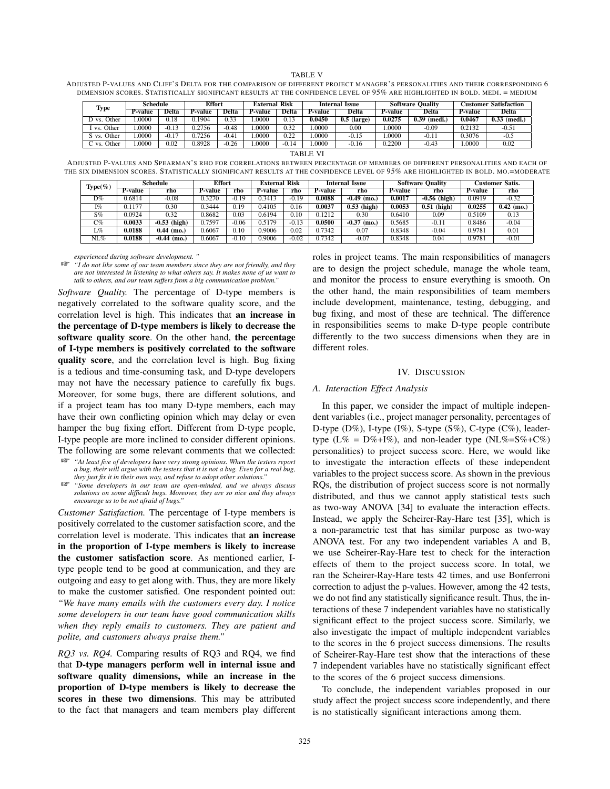TABLE V

ADJUSTED P-VALUES AND CLIFF'S DELTA FOR THE COMPARISON OF DIFFERENT PROJECT MANAGER'S PERSONALITIES AND THEIR CORRESPONDING 6 DIMENSION SCORES. STATISTICALLY SIGNIFICANT RESULTS AT THE CONFIDENCE LEVEL OF 95% ARE HIGHLIGHTED IN BOLD. MEDI. = MEDIUM

| Type        | <b>Schedule</b> |         | <b>Effort</b> |              | <b>External Risk</b> |              |         | <b>Internal Issue</b> | <b>Software Quality</b> |                | <b>Customer Satisfaction</b> |                 |
|-------------|-----------------|---------|---------------|--------------|----------------------|--------------|---------|-----------------------|-------------------------|----------------|------------------------------|-----------------|
|             | ' value         | Delta   | P-value       | <b>Delta</b> | P-value              | <b>Delta</b> | P value | <b>Delta</b>          | P-value                 | Delta          | P-value                      | Delta           |
| D vs. Other | .0000           | 0.18    | 0.1904        | 0.33         | .0000                | 0.13         | 0.0450  | 0.5<br>(large)        | 0.0275                  | $0.39$ (medi.) | 0.0467                       | (medi.)<br>0.33 |
| vs. Other   | .0000           | $-0.13$ | 0.2756        | $-0.48$      | .0000                | 0.32         | .0000   | 0.00                  | .0000                   | -0.09          | 0.2132                       | $-0.51$         |
| S vs. Other | .0000           | $-0.17$ | .7256         | $-0.41$      | .0000                | 0.22         | .0000   | -0.15                 | .0000                   | $-0.11$        | 0.3076                       | $-0.5$          |
| C vs. Other | .0000           | 0.02    | 0.8928        | $-0.26$      | .0000                | $-0.14$      | .0000   | -0.16                 | 0.2200                  | -0.43          | .0000                        | 0.02            |

| A. | ВL<br>е |  |
|----|---------|--|
|    |         |  |

ADJUSTED P-VALUES AND SPEARMAN'S RHO FOR CORRELATIONS BETWEEN PERCENTAGE OF MEMBERS OF DIFFERENT PERSONALITIES AND EACH OF THE SIX DIMENSION SCORES. STATISTICALLY SIGNIFICANT RESULTS AT THE CONFIDENCE LEVEL OF 95% ARE HIGHLIGHTED IN BOLD. MO.=MODERATE

| $Type(\%)$ |         | <b>Schedule</b> | <b>Effort</b> |         |         | <b>External Risk</b><br><b>Internal Issue</b> |         |               |         | <b>Software Quality</b> | <b>Customer Satis.</b> |              |
|------------|---------|-----------------|---------------|---------|---------|-----------------------------------------------|---------|---------------|---------|-------------------------|------------------------|--------------|
|            | P-value | rho             | P-value       | rho     | P-value | rho                                           | P-value | rho           | P-value | rho                     | P-value                | rho          |
| $D\%$      | 0.6814  | $-0.08$         | 0.3270        | $-0.19$ | 0.3413  | $-0.19$                                       | 0.0088  | $-0.49$ (mo.) | 0.0017  | $-0.56$ (high)          | 0.0919                 | $-0.32$      |
| $I\%$      | 0.1177  | 0.30            | ).3444        | 0.19    | 0.4105  | 0.16                                          | 0.0037  | $0.53$ (high) | 0.0053  | $0.51$ (high)           | 0.0255                 | $0.42$ (mo.) |
| $S\%$      | 0.0924  | 0.32            | 0.8682        | 0.03    | 0.6194  | 0.10                                          | 0.1212  | 0.30          | 0.6410  | 0.09                    | 0.5109                 | 0.13         |
| $C\%$      | 0.0033  | $-0.53$ (high)  | 0.7597        | $-0.06$ | 0.5179  | $-0.13$                                       | 0.0500  | $-0.37$ (mo.) | 0.5685  | $-0.11$                 | 0.8486                 | $-0.04$      |
| $L\%$      | 0.0188  | $0.44$ (mo.)    | 0.6067        | 0.10    | 0.9006  | 0.02                                          | 0.7342  | 0.07          | 0.8348  | $-0.04$                 | 0.9781                 | 0.01         |
| NL%        | 0.0188  | $-0.44$ (mo.)   | 0.6067        | $-0.10$ | 0.9006  | $-0.02$                                       | 0.7342  | $-0.07$       | 0.8348  | 0.04                    | 0.9781                 | $-0.01$      |

*experienced during software development. "*

 $E^{\rm eff}$  *"I do not like some of our team members since they are not friendly, and they are not interested in listening to what others say. It makes none of us want to talk to others, and our team suffers from a big communication problem."*

*Software Quality.* The percentage of D-type members is negatively correlated to the software quality score, and the correlation level is high. This indicates that an increase in the percentage of D-type members is likely to decrease the software quality score. On the other hand, the percentage of I-type members is positively correlated to the software quality score, and the correlation level is high. Bug fixing is a tedious and time-consuming task, and D-type developers may not have the necessary patience to carefully fix bugs. Moreover, for some bugs, there are different solutions, and if a project team has too many D-type members, each may have their own conflicting opinion which may delay or even hamper the bug fixing effort. Different from D-type people, I-type people are more inclined to consider different opinions. The following are some relevant comments that we collected:

- rð. *"At least five of developers have very strong opinions. When the testers report a bug, their will argue with the testers that it is not a bug. Even for a real bug, they just fix it in their own way, and refuse to adopt other solutions."*
- - *"Some developers in our team are open-minded, and we always discuss solutions on some difficult bugs. Moreover, they are so nice and they always encourage us to be not afraid of bugs."*

*Customer Satisfaction.* The percentage of I-type members is positively correlated to the customer satisfaction score, and the correlation level is moderate. This indicates that an increase in the proportion of I-type members is likely to increase the customer satisfaction score. As mentioned earlier, Itype people tend to be good at communication, and they are outgoing and easy to get along with. Thus, they are more likely to make the customer satisfied. One respondent pointed out: *"We have many emails with the customers every day. I notice some developers in our team have good communication skills when they reply emails to customers. They are patient and polite, and customers always praise them."*

*RQ3 vs. RQ4.* Comparing results of RQ3 and RQ4, we find that D-type managers perform well in internal issue and software quality dimensions, while an increase in the proportion of D-type members is likely to decrease the scores in these two dimensions. This may be attributed to the fact that managers and team members play different roles in project teams. The main responsibilities of managers are to design the project schedule, manage the whole team, and monitor the process to ensure everything is smooth. On the other hand, the main responsibilities of team members include development, maintenance, testing, debugging, and bug fixing, and most of these are technical. The difference in responsibilities seems to make D-type people contribute differently to the two success dimensions when they are in different roles.

#### IV. DISCUSSION

#### *A. Interaction Effect Analysis*

In this paper, we consider the impact of multiple independent variables (i.e., project manager personality, percentages of D-type  $(D\%)$ , I-type  $(I\%)$ , S-type  $(S\%)$ , C-type  $(C\%)$ , leadertype  $(L\% = D\% + I\%)$ , and non-leader type  $(NL\% = S\% + C\%)$ personalities) to project success score. Here, we would like to investigate the interaction effects of these independent variables to the project success score. As shown in the previous RQs, the distribution of project success score is not normally distributed, and thus we cannot apply statistical tests such as two-way ANOVA [34] to evaluate the interaction effects. Instead, we apply the Scheirer-Ray-Hare test [35], which is a non-parametric test that has similar purpose as two-way ANOVA test. For any two independent variables A and B, we use Scheirer-Ray-Hare test to check for the interaction effects of them to the project success score. In total, we ran the Scheirer-Ray-Hare tests 42 times, and use Bonferroni correction to adjust the p-values. However, among the 42 tests, we do not find any statistically significance result. Thus, the interactions of these 7 independent variables have no statistically significant effect to the project success score. Similarly, we also investigate the impact of multiple independent variables to the scores in the 6 project success dimensions. The results of Scheirer-Ray-Hare test show that the interactions of these 7 independent variables have no statistically significant effect to the scores of the 6 project success dimensions.

To conclude, the independent variables proposed in our study affect the project success score independently, and there is no statistically significant interactions among them.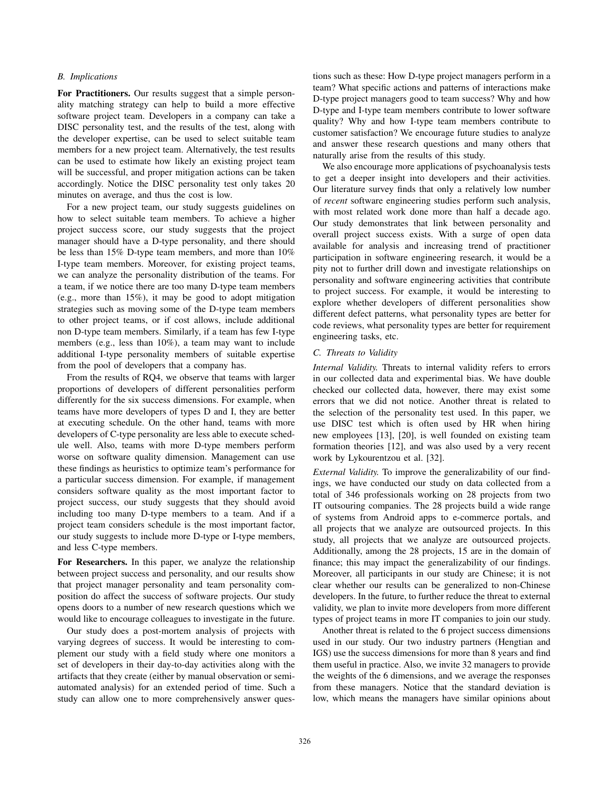## *B. Implications*

For Practitioners. Our results suggest that a simple personality matching strategy can help to build a more effective software project team. Developers in a company can take a DISC personality test, and the results of the test, along with the developer expertise, can be used to select suitable team members for a new project team. Alternatively, the test results can be used to estimate how likely an existing project team will be successful, and proper mitigation actions can be taken accordingly. Notice the DISC personality test only takes 20 minutes on average, and thus the cost is low.

For a new project team, our study suggests guidelines on how to select suitable team members. To achieve a higher project success score, our study suggests that the project manager should have a D-type personality, and there should be less than 15% D-type team members, and more than 10% I-type team members. Moreover, for existing project teams, we can analyze the personality distribution of the teams. For a team, if we notice there are too many D-type team members (e.g., more than 15%), it may be good to adopt mitigation strategies such as moving some of the D-type team members to other project teams, or if cost allows, include additional non D-type team members. Similarly, if a team has few I-type members (e.g., less than 10%), a team may want to include additional I-type personality members of suitable expertise from the pool of developers that a company has.

From the results of RQ4, we observe that teams with larger proportions of developers of different personalities perform differently for the six success dimensions. For example, when teams have more developers of types D and I, they are better at executing schedule. On the other hand, teams with more developers of C-type personality are less able to execute schedule well. Also, teams with more D-type members perform worse on software quality dimension. Management can use these findings as heuristics to optimize team's performance for a particular success dimension. For example, if management considers software quality as the most important factor to project success, our study suggests that they should avoid including too many D-type members to a team. And if a project team considers schedule is the most important factor, our study suggests to include more D-type or I-type members, and less C-type members.

For Researchers. In this paper, we analyze the relationship between project success and personality, and our results show that project manager personality and team personality composition do affect the success of software projects. Our study opens doors to a number of new research questions which we would like to encourage colleagues to investigate in the future.

Our study does a post-mortem analysis of projects with varying degrees of success. It would be interesting to complement our study with a field study where one monitors a set of developers in their day-to-day activities along with the artifacts that they create (either by manual observation or semiautomated analysis) for an extended period of time. Such a study can allow one to more comprehensively answer questions such as these: How D-type project managers perform in a team? What specific actions and patterns of interactions make D-type project managers good to team success? Why and how D-type and I-type team members contribute to lower software quality? Why and how I-type team members contribute to customer satisfaction? We encourage future studies to analyze and answer these research questions and many others that naturally arise from the results of this study.

We also encourage more applications of psychoanalysis tests to get a deeper insight into developers and their activities. Our literature survey finds that only a relatively low number of *recent* software engineering studies perform such analysis, with most related work done more than half a decade ago. Our study demonstrates that link between personality and overall project success exists. With a surge of open data available for analysis and increasing trend of practitioner participation in software engineering research, it would be a pity not to further drill down and investigate relationships on personality and software engineering activities that contribute to project success. For example, it would be interesting to explore whether developers of different personalities show different defect patterns, what personality types are better for code reviews, what personality types are better for requirement engineering tasks, etc.

#### *C. Threats to Validity*

*Internal Validity.* Threats to internal validity refers to errors in our collected data and experimental bias. We have double checked our collected data, however, there may exist some errors that we did not notice. Another threat is related to the selection of the personality test used. In this paper, we use DISC test which is often used by HR when hiring new employees [13], [20], is well founded on existing team formation theories [12], and was also used by a very recent work by Lykourentzou et al. [32].

*External Validity.* To improve the generalizability of our findings, we have conducted our study on data collected from a total of 346 professionals working on 28 projects from two IT outsouring companies. The 28 projects build a wide range of systems from Android apps to e-commerce portals, and all projects that we analyze are outsourced projects. In this study, all projects that we analyze are outsourced projects. Additionally, among the 28 projects, 15 are in the domain of finance; this may impact the generalizability of our findings. Moreover, all participants in our study are Chinese; it is not clear whether our results can be generalized to non-Chinese developers. In the future, to further reduce the threat to external validity, we plan to invite more developers from more different types of project teams in more IT companies to join our study.

Another threat is related to the 6 project success dimensions used in our study. Our two industry partners (Hengtian and IGS) use the success dimensions for more than 8 years and find them useful in practice. Also, we invite 32 managers to provide the weights of the 6 dimensions, and we average the responses from these managers. Notice that the standard deviation is low, which means the managers have similar opinions about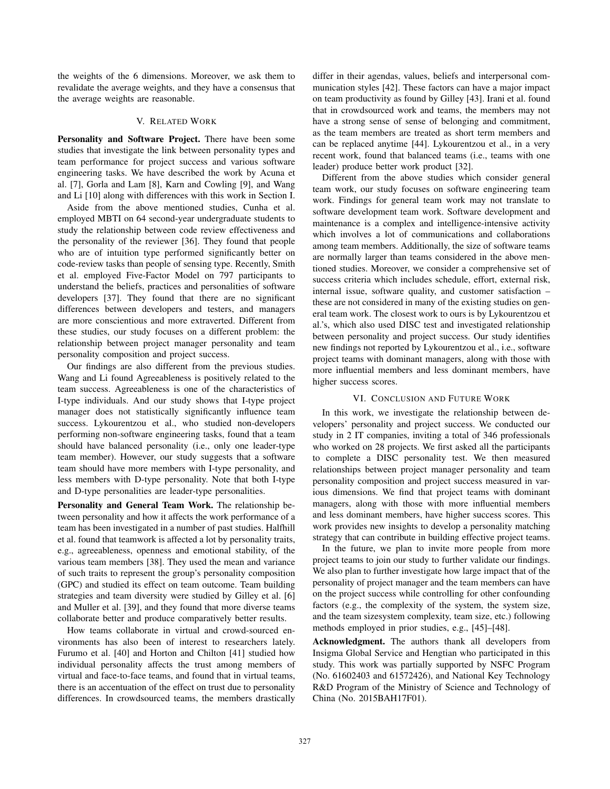the weights of the 6 dimensions. Moreover, we ask them to revalidate the average weights, and they have a consensus that the average weights are reasonable.

## V. RELATED WORK

Personality and Software Project. There have been some studies that investigate the link between personality types and team performance for project success and various software engineering tasks. We have described the work by Acuna et al. [7], Gorla and Lam [8], Karn and Cowling [9], and Wang and Li [10] along with differences with this work in Section I.

Aside from the above mentioned studies, Cunha et al. employed MBTI on 64 second-year undergraduate students to study the relationship between code review effectiveness and the personality of the reviewer [36]. They found that people who are of intuition type performed significantly better on code-review tasks than people of sensing type. Recently, Smith et al. employed Five-Factor Model on 797 participants to understand the beliefs, practices and personalities of software developers [37]. They found that there are no significant differences between developers and testers, and managers are more conscientious and more extraverted. Different from these studies, our study focuses on a different problem: the relationship between project manager personality and team personality composition and project success.

Our findings are also different from the previous studies. Wang and Li found Agreeableness is positively related to the team success. Agreeableness is one of the characteristics of I-type individuals. And our study shows that I-type project manager does not statistically significantly influence team success. Lykourentzou et al., who studied non-developers performing non-software engineering tasks, found that a team should have balanced personality (i.e., only one leader-type team member). However, our study suggests that a software team should have more members with I-type personality, and less members with D-type personality. Note that both I-type and D-type personalities are leader-type personalities.

Personality and General Team Work. The relationship between personality and how it affects the work performance of a team has been investigated in a number of past studies. Halfhill et al. found that teamwork is affected a lot by personality traits, e.g., agreeableness, openness and emotional stability, of the various team members [38]. They used the mean and variance of such traits to represent the group's personality composition (GPC) and studied its effect on team outcome. Team building strategies and team diversity were studied by Gilley et al. [6] and Muller et al. [39], and they found that more diverse teams collaborate better and produce comparatively better results.

How teams collaborate in virtual and crowd-sourced environments has also been of interest to researchers lately. Furumo et al. [40] and Horton and Chilton [41] studied how individual personality affects the trust among members of virtual and face-to-face teams, and found that in virtual teams, there is an accentuation of the effect on trust due to personality differences. In crowdsourced teams, the members drastically

differ in their agendas, values, beliefs and interpersonal communication styles [42]. These factors can have a major impact on team productivity as found by Gilley [43]. Irani et al. found that in crowdsourced work and teams, the members may not have a strong sense of sense of belonging and commitment, as the team members are treated as short term members and can be replaced anytime [44]. Lykourentzou et al., in a very recent work, found that balanced teams (i.e., teams with one leader) produce better work product [32].

Different from the above studies which consider general team work, our study focuses on software engineering team work. Findings for general team work may not translate to software development team work. Software development and maintenance is a complex and intelligence-intensive activity which involves a lot of communications and collaborations among team members. Additionally, the size of software teams are normally larger than teams considered in the above mentioned studies. Moreover, we consider a comprehensive set of success criteria which includes schedule, effort, external risk, internal issue, software quality, and customer satisfaction – these are not considered in many of the existing studies on general team work. The closest work to ours is by Lykourentzou et al.'s, which also used DISC test and investigated relationship between personality and project success. Our study identifies new findings not reported by Lykourentzou et al., i.e., software project teams with dominant managers, along with those with more influential members and less dominant members, have higher success scores.

## VI. CONCLUSION AND FUTURE WORK

In this work, we investigate the relationship between developers' personality and project success. We conducted our study in 2 IT companies, inviting a total of 346 professionals who worked on 28 projects. We first asked all the participants to complete a DISC personality test. We then measured relationships between project manager personality and team personality composition and project success measured in various dimensions. We find that project teams with dominant managers, along with those with more influential members and less dominant members, have higher success scores. This work provides new insights to develop a personality matching strategy that can contribute in building effective project teams.

In the future, we plan to invite more people from more project teams to join our study to further validate our findings. We also plan to further investigate how large impact that of the personality of project manager and the team members can have on the project success while controlling for other confounding factors (e.g., the complexity of the system, the system size, and the team sizesystem complexity, team size, etc.) following methods employed in prior studies, e.g., [45]–[48].

Acknowledgment. The authors thank all developers from Insigma Global Service and Hengtian who participated in this study. This work was partially supported by NSFC Program (No. 61602403 and 61572426), and National Key Technology R&D Program of the Ministry of Science and Technology of China (No. 2015BAH17F01).